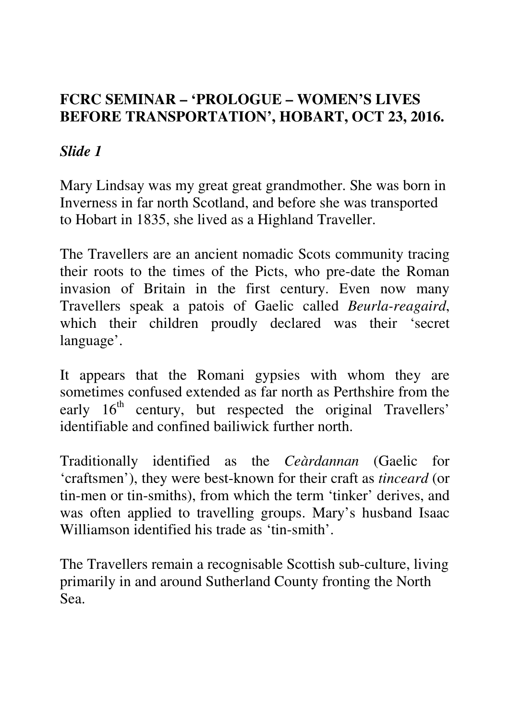#### **FCRC SEMINAR – 'PROLOGUE – WOMEN'S LIVES BEFORE TRANSPORTATION', HOBART, OCT 23, 2016.**

## *Slide 1*

Mary Lindsay was my great great grandmother. She was born in Inverness in far north Scotland, and before she was transported to Hobart in 1835, she lived as a Highland Traveller.

The Travellers are an ancient nomadic Scots community tracing their roots to the times of the Picts, who pre-date the Roman invasion of Britain in the first century. Even now many Travellers speak a patois of Gaelic called *Beurla-reagaird*, which their children proudly declared was their 'secret language'.

It appears that the Romani gypsies with whom they are sometimes confused extended as far north as Perthshire from the early  $16<sup>th</sup>$  century, but respected the original Travellers' identifiable and confined bailiwick further north.

Traditionally identified as the *Ceàrdannan* (Gaelic for 'craftsmen'), they were best-known for their craft as *tinceard* (or tin-men or tin-smiths), from which the term 'tinker' derives, and was often applied to travelling groups. Mary's husband Isaac Williamson identified his trade as 'tin-smith'.

The Travellers remain a recognisable Scottish sub-culture, living primarily in and around Sutherland County fronting the North Sea.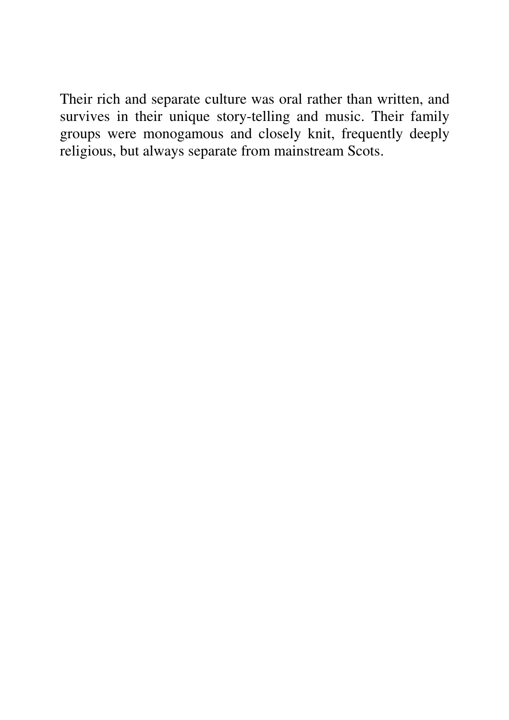Their rich and separate culture was oral rather than written, and survives in their unique story-telling and music. Their family groups were monogamous and closely knit, frequently deeply religious, but always separate from mainstream Scots.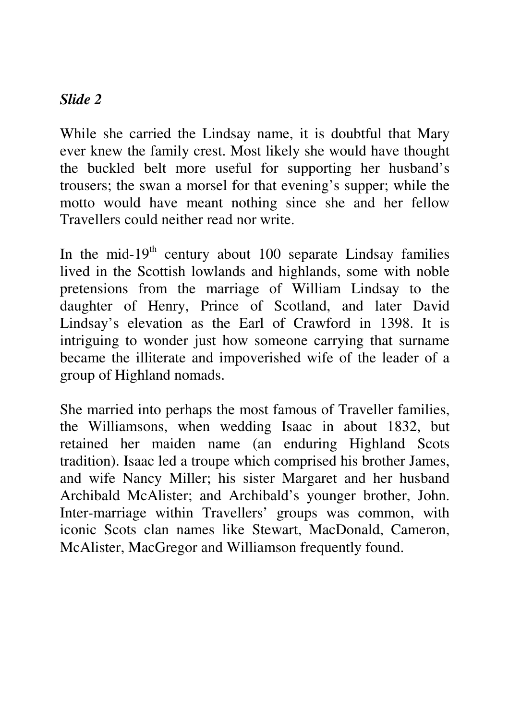While she carried the Lindsay name, it is doubtful that Mary ever knew the family crest. Most likely she would have thought the buckled belt more useful for supporting her husband's trousers; the swan a morsel for that evening's supper; while the motto would have meant nothing since she and her fellow Travellers could neither read nor write.

In the mid-19<sup>th</sup> century about 100 separate Lindsay families lived in the Scottish lowlands and highlands, some with noble pretensions from the marriage of William Lindsay to the daughter of Henry, Prince of Scotland, and later David Lindsay's elevation as the Earl of Crawford in 1398. It is intriguing to wonder just how someone carrying that surname became the illiterate and impoverished wife of the leader of a group of Highland nomads.

She married into perhaps the most famous of Traveller families, the Williamsons, when wedding Isaac in about 1832, but retained her maiden name (an enduring Highland Scots tradition). Isaac led a troupe which comprised his brother James, and wife Nancy Miller; his sister Margaret and her husband Archibald McAlister; and Archibald's younger brother, John. Inter-marriage within Travellers' groups was common, with iconic Scots clan names like Stewart, MacDonald, Cameron, McAlister, MacGregor and Williamson frequently found.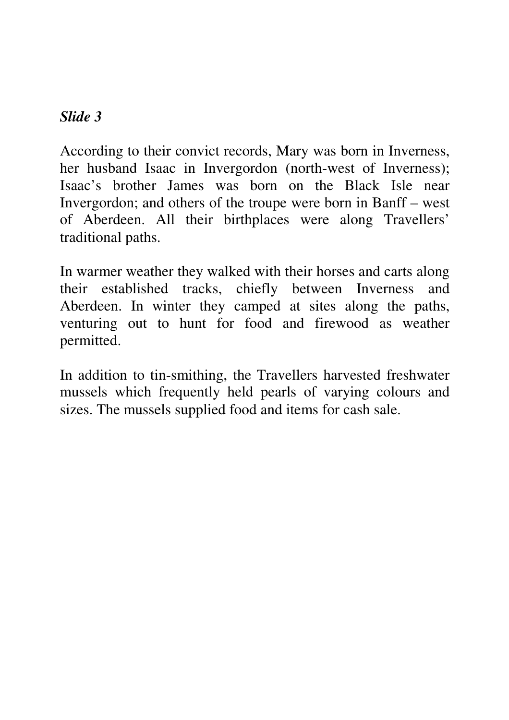According to their convict records, Mary was born in Inverness, her husband Isaac in Invergordon (north-west of Inverness); Isaac's brother James was born on the Black Isle near Invergordon; and others of the troupe were born in Banff – west of Aberdeen. All their birthplaces were along Travellers' traditional paths.

In warmer weather they walked with their horses and carts along their established tracks, chiefly between Inverness and Aberdeen. In winter they camped at sites along the paths, venturing out to hunt for food and firewood as weather permitted.

In addition to tin-smithing, the Travellers harvested freshwater mussels which frequently held pearls of varying colours and sizes. The mussels supplied food and items for cash sale.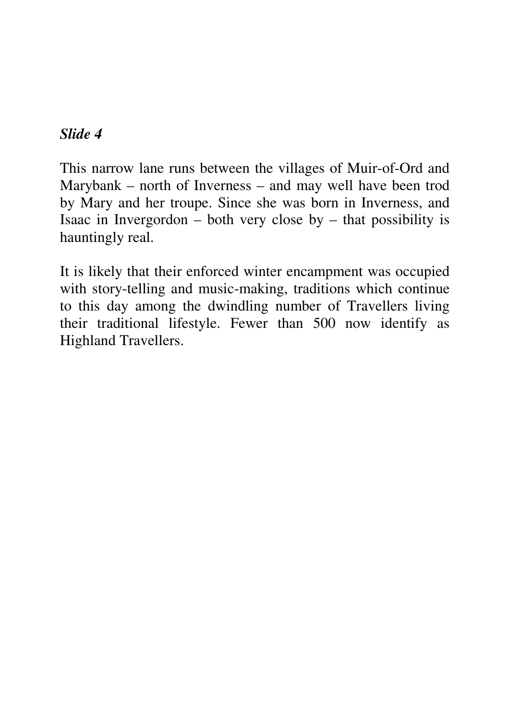This narrow lane runs between the villages of Muir-of-Ord and Marybank – north of Inverness – and may well have been trod by Mary and her troupe. Since she was born in Inverness, and Isaac in Invergordon – both very close by – that possibility is hauntingly real.

It is likely that their enforced winter encampment was occupied with story-telling and music-making, traditions which continue to this day among the dwindling number of Travellers living their traditional lifestyle. Fewer than 500 now identify as Highland Travellers.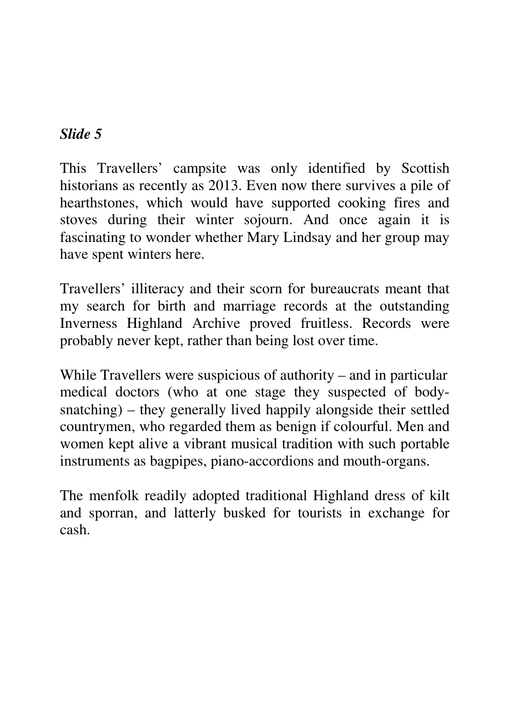This Travellers' campsite was only identified by Scottish historians as recently as 2013. Even now there survives a pile of hearthstones, which would have supported cooking fires and stoves during their winter sojourn. And once again it is fascinating to wonder whether Mary Lindsay and her group may have spent winters here.

Travellers' illiteracy and their scorn for bureaucrats meant that my search for birth and marriage records at the outstanding Inverness Highland Archive proved fruitless. Records were probably never kept, rather than being lost over time.

While Travellers were suspicious of authority – and in particular medical doctors (who at one stage they suspected of bodysnatching) – they generally lived happily alongside their settled countrymen, who regarded them as benign if colourful. Men and women kept alive a vibrant musical tradition with such portable instruments as bagpipes, piano-accordions and mouth-organs.

The menfolk readily adopted traditional Highland dress of kilt and sporran, and latterly busked for tourists in exchange for cash.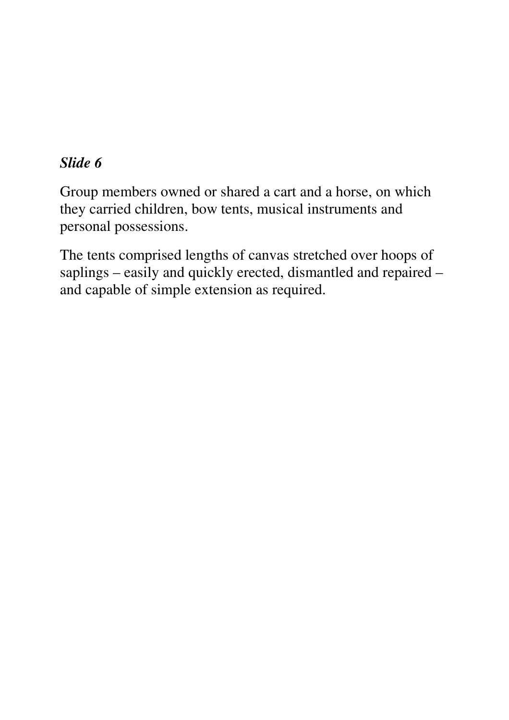Group members owned or shared a cart and a horse, on which they carried children, bow tents, musical instruments and personal possessions.

The tents comprised lengths of canvas stretched over hoops of saplings – easily and quickly erected, dismantled and repaired – and capable of simple extension as required.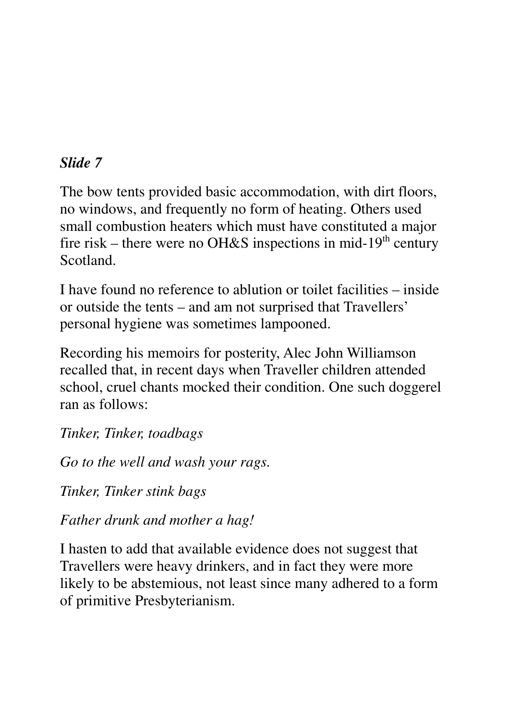The bow tents provided basic accommodation, with dirt floors, no windows, and frequently no form of heating. Others used small combustion heaters which must have constituted a major fire risk – there were no OH&S inspections in mid-19<sup>th</sup> century Scotland.

I have found no reference to ablution or toilet facilities – inside or outside the tents – and am not surprised that Travellers' personal hygiene was sometimes lampooned.

Recording his memoirs for posterity, Alec John Williamson recalled that, in recent days when Traveller children attended school, cruel chants mocked their condition. One such doggerel ran as follows:

*Tinker, Tinker, toadbags* 

*Go to the well and wash your rags.* 

*Tinker, Tinker stink bags* 

*Father drunk and mother a hag!* 

I hasten to add that available evidence does not suggest that Travellers were heavy drinkers, and in fact they were more likely to be abstemious, not least since many adhered to a form of primitive Presbyterianism.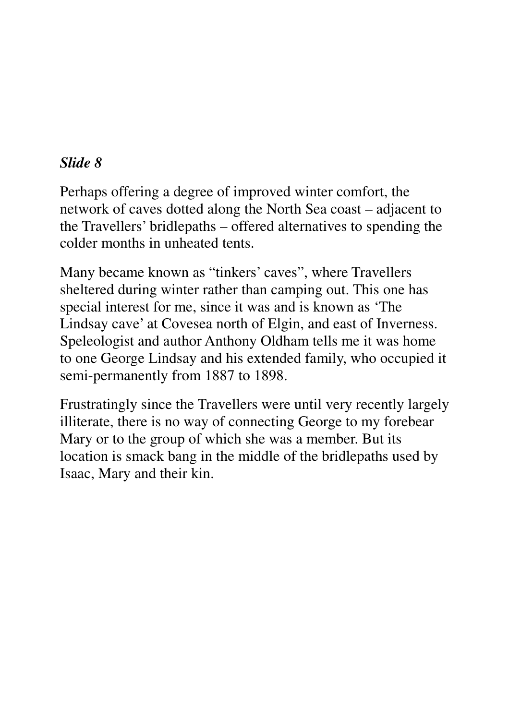Perhaps offering a degree of improved winter comfort, the network of caves dotted along the North Sea coast – adjacent to the Travellers' bridlepaths – offered alternatives to spending the colder months in unheated tents.

Many became known as "tinkers' caves", where Travellers sheltered during winter rather than camping out. This one has special interest for me, since it was and is known as 'The Lindsay cave' at Covesea north of Elgin, and east of Inverness. Speleologist and author Anthony Oldham tells me it was home to one George Lindsay and his extended family, who occupied it semi-permanently from 1887 to 1898.

Frustratingly since the Travellers were until very recently largely illiterate, there is no way of connecting George to my forebear Mary or to the group of which she was a member. But its location is smack bang in the middle of the bridlepaths used by Isaac, Mary and their kin.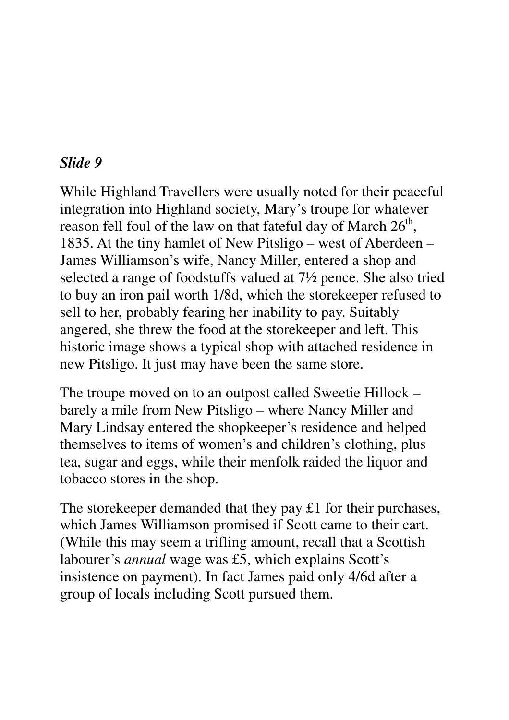While Highland Travellers were usually noted for their peaceful integration into Highland society, Mary's troupe for whatever reason fell foul of the law on that fateful day of March  $26<sup>th</sup>$ , 1835. At the tiny hamlet of New Pitsligo – west of Aberdeen – James Williamson's wife, Nancy Miller, entered a shop and selected a range of foodstuffs valued at 7½ pence. She also tried to buy an iron pail worth 1/8d, which the storekeeper refused to sell to her, probably fearing her inability to pay. Suitably angered, she threw the food at the storekeeper and left. This historic image shows a typical shop with attached residence in new Pitsligo. It just may have been the same store.

The troupe moved on to an outpost called Sweetie Hillock – barely a mile from New Pitsligo – where Nancy Miller and Mary Lindsay entered the shopkeeper's residence and helped themselves to items of women's and children's clothing, plus tea, sugar and eggs, while their menfolk raided the liquor and tobacco stores in the shop.

The storekeeper demanded that they pay £1 for their purchases, which James Williamson promised if Scott came to their cart. (While this may seem a trifling amount, recall that a Scottish labourer's *annual* wage was £5, which explains Scott's insistence on payment). In fact James paid only 4/6d after a group of locals including Scott pursued them.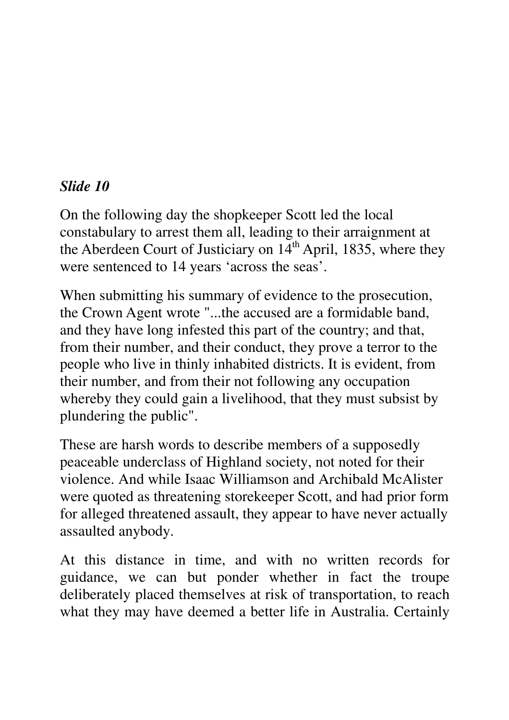On the following day the shopkeeper Scott led the local constabulary to arrest them all, leading to their arraignment at the Aberdeen Court of Justiciary on  $14<sup>th</sup>$  April, 1835, where they were sentenced to 14 years 'across the seas'.

When submitting his summary of evidence to the prosecution, the Crown Agent wrote "...the accused are a formidable band, and they have long infested this part of the country; and that, from their number, and their conduct, they prove a terror to the people who live in thinly inhabited districts. It is evident, from their number, and from their not following any occupation whereby they could gain a livelihood, that they must subsist by plundering the public".

These are harsh words to describe members of a supposedly peaceable underclass of Highland society, not noted for their violence. And while Isaac Williamson and Archibald McAlister were quoted as threatening storekeeper Scott, and had prior form for alleged threatened assault, they appear to have never actually assaulted anybody.

At this distance in time, and with no written records for guidance, we can but ponder whether in fact the troupe deliberately placed themselves at risk of transportation, to reach what they may have deemed a better life in Australia. Certainly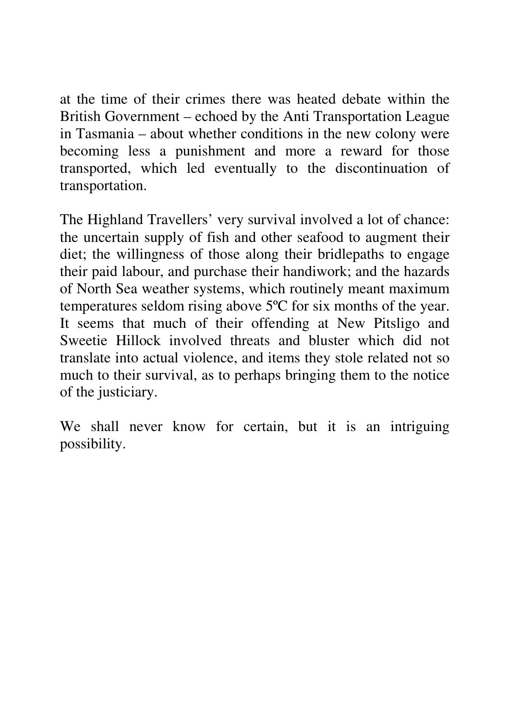at the time of their crimes there was heated debate within the British Government – echoed by the Anti Transportation League in Tasmania – about whether conditions in the new colony were becoming less a punishment and more a reward for those transported, which led eventually to the discontinuation of transportation.

The Highland Travellers' very survival involved a lot of chance: the uncertain supply of fish and other seafood to augment their diet; the willingness of those along their bridlepaths to engage their paid labour, and purchase their handiwork; and the hazards of North Sea weather systems, which routinely meant maximum temperatures seldom rising above 5ºC for six months of the year. It seems that much of their offending at New Pitsligo and Sweetie Hillock involved threats and bluster which did not translate into actual violence, and items they stole related not so much to their survival, as to perhaps bringing them to the notice of the justiciary.

We shall never know for certain, but it is an intriguing possibility.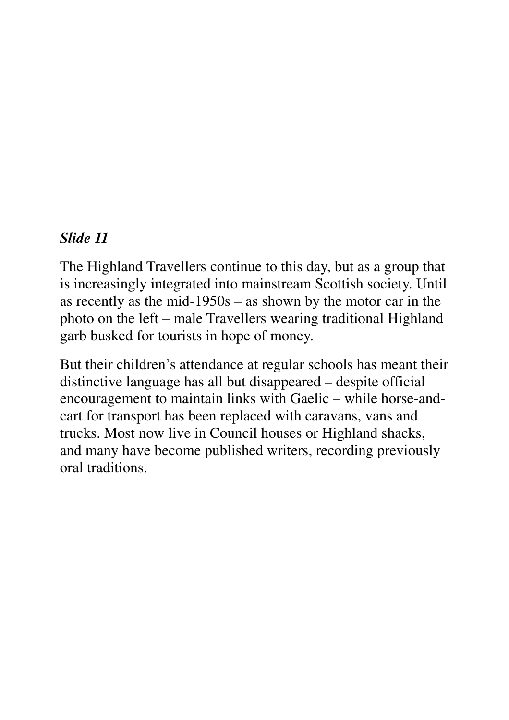The Highland Travellers continue to this day, but as a group that is increasingly integrated into mainstream Scottish society. Until as recently as the mid-1950s – as shown by the motor car in the photo on the left – male Travellers wearing traditional Highland garb busked for tourists in hope of money.

But their children's attendance at regular schools has meant their distinctive language has all but disappeared – despite official encouragement to maintain links with Gaelic – while horse-andcart for transport has been replaced with caravans, vans and trucks. Most now live in Council houses or Highland shacks, and many have become published writers, recording previously oral traditions.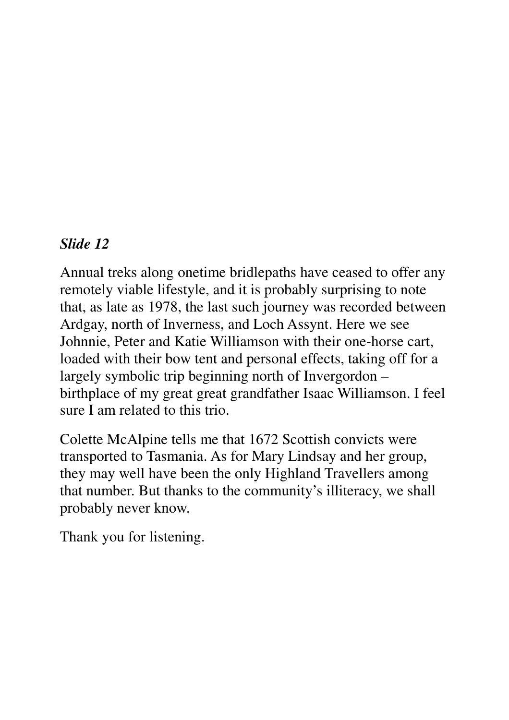Annual treks along onetime bridlepaths have ceased to offer any remotely viable lifestyle, and it is probably surprising to note that, as late as 1978, the last such journey was recorded between Ardgay, north of Inverness, and Loch Assynt. Here we see Johnnie, Peter and Katie Williamson with their one-horse cart, loaded with their bow tent and personal effects, taking off for a largely symbolic trip beginning north of Invergordon – birthplace of my great great grandfather Isaac Williamson. I feel sure I am related to this trio.

Colette McAlpine tells me that 1672 Scottish convicts were transported to Tasmania. As for Mary Lindsay and her group, they may well have been the only Highland Travellers among that number. But thanks to the community's illiteracy, we shall probably never know.

Thank you for listening.